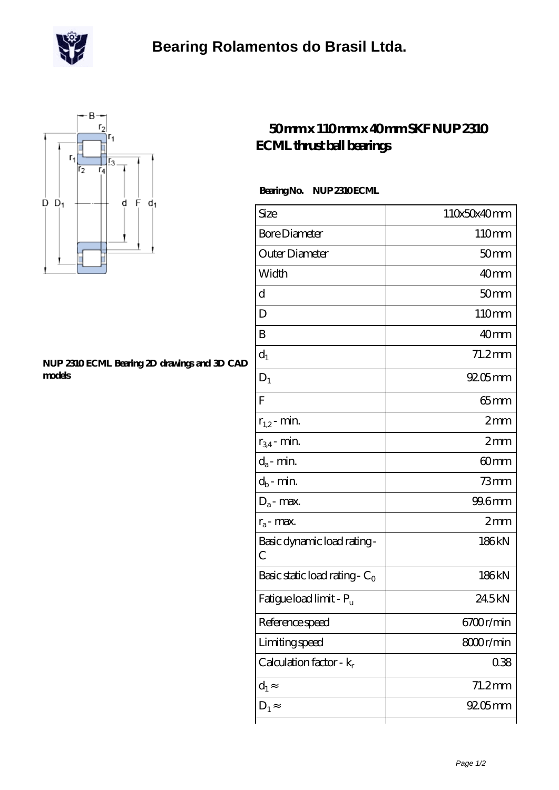



## **[NUP 2310 ECML Bearing 2D drawings and 3D CAD](https://m.scottrobertalexander.com/pic-539747.html) [models](https://m.scottrobertalexander.com/pic-539747.html)**

## **[50 mm x 110 mm x 40 mm SKF NUP 2310](https://m.scottrobertalexander.com/skf-nup-2310-ecml-bearing/) [ECML thrust ball bearings](https://m.scottrobertalexander.com/skf-nup-2310-ecml-bearing/)**

Bearing No. NUP 2310 ECML

| Size                                | 110x50x40mm      |
|-------------------------------------|------------------|
| <b>Bore Diameter</b>                | 110mm            |
| Outer Diameter                      | 50 <sub>mm</sub> |
| Width                               | 40 <sub>mm</sub> |
| d                                   | 50 <sub>mm</sub> |
| D                                   | 110mm            |
| B                                   | 40mm             |
| $d_1$                               | $71.2$ mm        |
| $D_1$                               | $9205$ mm        |
| F                                   | $65$ mm          |
| $r_{1,2}$ - min.                    | 2mm              |
| $r_{34}$ - min.                     | 2mm              |
| $d_a$ - min.                        | 60 <sub>mm</sub> |
| $d_b$ - min.                        | $73$ mm          |
| $D_a$ - max.                        | 99.6mm           |
| $r_a$ - max.                        | 2mm              |
| Basic dynamic load rating-<br>С     | 186kN            |
| Basic static load rating - $C_0$    | 186kN            |
| Fatigue load limit - P <sub>u</sub> | 245kN            |
| Reference speed                     | 6700r/min        |
| Limiting speed                      | 8000r/min        |
| Calculation factor - $k_r$          | 0.38             |
| $d_1$                               | $71.2$ mm        |
| $D_1$                               | $9205$ mm        |
|                                     |                  |